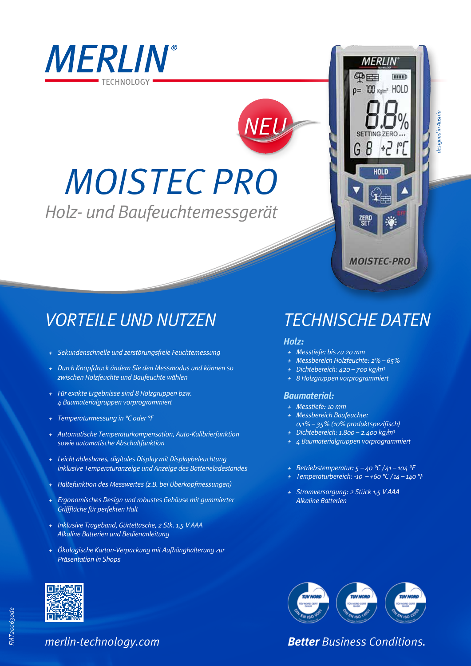

# *MOISTEC PRO*

*Holz- und Baufeuchtemessgerät*

### *VORTEILE UND NUTZEN*

- *+ Sekundenschnelle und zerstörungsfreie Feuchtemessung*
- *+ Durch Knopfdruck ändern Sie den Messmodus und können so zwischen Holzfeuchte und Baufeuchte wählen*
- *+ Für exakte Ergebnisse sind 8 Holzgruppen bzw. 4 Baumaterialgruppen vorprogrammiert*
- *+ Temperaturmessung in °C oder °F*
- *+ Automatische Temperaturkompensation, Auto-Kalibrierfunktion sowie automatische Abschaltfunktion*
- *+ Leicht ablesbares, digitales Display mit Displaybeleuchtung inklusive Temperaturanzeige und Anzeige des Batterieladestandes*
- *+ Haltefunktion des Messwertes (z.B. bei Überkopfmessungen)*
- *+ Ergonomisches Design und robustes Gehäuse mit gummierter Grifffläche für perfekten Halt*
- *+ Inklusive Trageband, Gürteltasche, 2 Stk. 1,5 V AAA Alkaline Batterien und Bedienanleitung*
- *+ Ökologische Karton-Verpackung mit Aufhänghalterung zur Präsentation in Shops*

## *TECHNISCHE DATEN*

**MERLIN** 

 $p = 700$   $_{Kq/m^2}$  HOLD

 $+7$ 

HOI D

**MOISTEC-PRO** 

 $\overline{\mathbf{u}}$ 

华田

*designed in Austria*

esianed in Austric

### *Holz:*

*NEU*

- *+ Messtiefe: bis zu 20 mm*
- *+ Messbereich Holzfeuchte: 2% 65%*
- *+ Dichtebereich: 420 700 kg/m3*
- *+ 8 Holzgruppen vorprogrammiert*

#### *Baumaterial:*

- *+ Messtiefe: 10 mm + Messbereich Baufeuchte:*
- *0,1% 35% (10% produktspezifisch) + Dichtebereich: 1.800 – 2.400 kg/m3*
- *+ 4 Baumaterialgruppen vorprogrammiert*
- *+ Betriebstemperatur: 5 40 °C / 41 104 °F*
- *+ Temperaturbereich: -10 +60 °C / 14 140 °F*
- *+ Stromversorgung: 2 Stück 1,5 V AAA Alkaline Batterien*



*Better Business Conditions.*